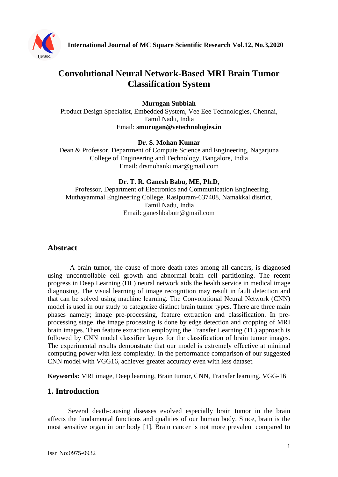

# **Convolutional Neural Network-Based MRI Brain Tumor Classification System**

#### **Murugan Subbiah**

Product Design Specialist, Embedded System, Vee Eee Technologies, Chennai, Tamil Nadu, India Email: **smurugan@vetechnologies.in**

#### **Dr. S. Mohan Kumar**

Dean & Professor, Department of Compute Science and Engineering, Nagarjuna College of Engineering and Technology, Bangalore, India Email: drsmohankumar@gmail.com

#### **Dr. T. R. Ganesh Babu, ME, Ph.D**,

 Professor, Department of Electronics and Communication Engineering, Muthayammal Engineering College, Rasipuram-637408, Namakkal district, Tamil Nadu, India Email: ganeshbabutr@gmail.com

#### **Abstract**

A brain tumor, the cause of more death rates among all cancers, is diagnosed using uncontrollable cell growth and abnormal brain cell partitioning. The recent progress in Deep Learning (DL) neural network aids the health service in medical image diagnosing. The visual learning of image recognition may result in fault detection and that can be solved using machine learning. The Convolutional Neural Network (CNN) model is used in our study to categorize distinct brain tumor types. There are three main phases namely; image pre-processing, feature extraction and classification. In preprocessing stage, the image processing is done by edge detection and cropping of MRI brain images. Then feature extraction employing the Transfer Learning (TL) approach is followed by CNN model classifier layers for the classification of brain tumor images. The experimental results demonstrate that our model is extremely effective at minimal computing power with less complexity. In the performance comparison of our suggested CNN model with VGG16, achieves greater accuracy even with less dataset.

**Keywords:** MRI image, Deep learning, Brain tumor, CNN, Transfer learning, VGG-16

#### **1. Introduction**

Several death-causing diseases evolved especially brain tumor in the brain affects the fundamental functions and qualities of our human body. Since, brain is the most sensitive organ in our body [1]. Brain cancer is not more prevalent compared to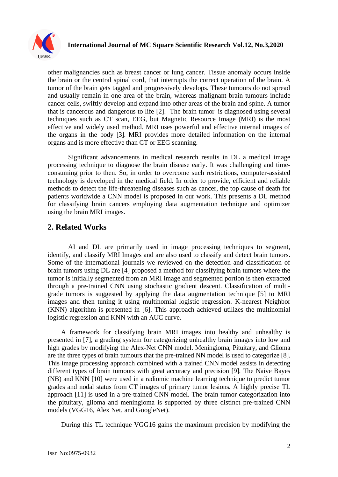

other malignancies such as breast cancer or lung cancer. Tissue anomaly occurs inside the brain or the central spinal cord, that interrupts the correct operation of the brain. A tumor of the brain gets tagged and progressively develops. These tumours do not spread and usually remain in one area of the brain, whereas malignant brain tumours include cancer cells, swiftly develop and expand into other areas of the brain and spine. A tumor that is cancerous and dangerous to life [\[2\]](#page-8-0). The brain tumor is diagnosed using several techniques such as CT scan, EEG, but Magnetic Resource Image (MRI) is the most effective and widely used method. MRI uses powerful and effective internal images of the organs in the body [3]. MRI provides more detailed information on the internal organs and is more effective than CT or EEG scanning.

Significant advancements in medical research results in DL a medical image processing technique to diagnose the brain disease early. It was challenging and timeconsuming prior to then. So, in order to overcome such restrictions, computer-assisted technology is developed in the medical field. In order to provide, efficient and reliable methods to detect the life-threatening diseases such as cancer, the top cause of death for patients worldwide a CNN model is proposed in our work. This presents a DL method for classifying brain cancers employing data augmentation technique and optimizer using the brain MRI images.

# **2. Related Works**

AI and DL are primarily used in image processing techniques to segment, identify, and classify MRI Images and are also used to classify and detect brain tumors. Some of the international journals we reviewed on the detection and classification of brain tumors using DL are [\[4\]](#page-8-1) proposed a method for classifying brain tumors where the tumor is initially segmented from an MRI image and segmented portion is then extracted through a pre-trained CNN using stochastic gradient descent. Classification of multigrade tumors is suggested by applying the data augmentation technique [\[5\]](#page-8-2) to MRI images and then tuning it using multinomial logistic regression. K-nearest Neighbor (KNN) algorithm is presented in [\[6\]](#page-8-3). This approach achieved utilizes the multinomial logistic regression and KNN with an AUC curve.

A framework for classifying brain MRI images into healthy and unhealthy is presented in [7], a grading system for categorizing unhealthy brain images into low and high grades by modifying the Alex-Net CNN model. Meningioma, Pituitary, and Glioma are the three types of brain tumours that the pre-trained NN model is used to categorize [8]. This image processing approach combined with a trained CNN model assists in detecting different types of brain tumours with great accuracy and precision [9]. The Naive Bayes (NB) and KNN [10] were used in a radiomic machine learning technique to predict tumor grades and nodal status from CT images of primary tumor lesions. A highly precise TL approach [11] is used in a pre-trained CNN model. The brain tumor categorization into the pituitary, glioma and meningioma is supported by three distinct pre-trained CNN models (VGG16, Alex Net, and GoogleNet).

During this TL technique VGG16 gains the maximum precision by modifying the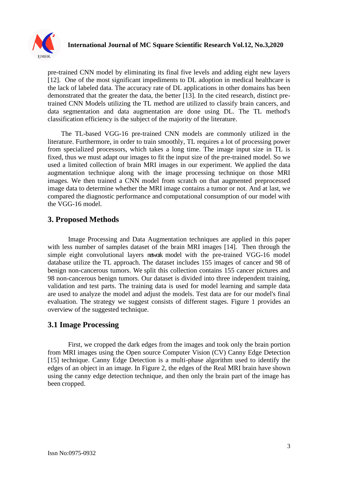

pre-trained CNN model by eliminating its final five levels and adding eight new layers [12]. One of the most significant impediments to DL adoption in medical healthcare is the lack of labeled data. The accuracy rate of DL applications in other domains has been demonstrated that the greater the data, the better [13]. In the cited research, distinct pretrained CNN Models utilizing the TL method are utilized to classify brain cancers, and data segmentation and data augmentation are done using DL. The TL method's classification efficiency is the subject of the majority of the literature.

The TL-based VGG-16 pre-trained CNN models are commonly utilized in the literature. Furthermore, in order to train smoothly, TL requires a lot of processing power from specialized processors, which takes a long time. The image input size in TL is fixed, thus we must adapt our images to fit the input size of the pre-trained model. So we used a limited collection of brain MRI images in our experiment. We applied the data augmentation technique along with the image processing technique on those MRI images. We then trained a CNN model from scratch on that augmented preprocessed image data to determine whether the MRI image contains a tumor or not. And at last, we compared the diagnostic performance and computational consumption of our model with the VGG-16 model.

# **3. Proposed Methods**

Image Processing and Data Augmentation techniques are applied in this paper with less number of samples dataset of the brain MRI images [\[14\]](#page-9-0). Then through the simple eight convolutional layers network model with the pre-trained VGG-16 model database utilize the TL approach. The dataset includes 155 images of cancer and 98 of benign non-cancerous tumors. We split this collection contains 155 cancer pictures and 98 non-cancerous benign tumors. Our dataset is divided into three independent training, validation and test parts. The training data is used for model learning and sample data are used to analyze the model and adjust the models. Test data are for our model's final evaluation. The strategy we suggest consists of different stages. Figure 1 provides an overview of the suggested technique.

# **3.1 Image Processing**

First, we cropped the dark edges from the images and took only the brain portion from MRI images using the Open source Computer Vision (CV) Canny Edge Detection [\[15\]](#page-9-1) technique. Canny Edge Detection is a multi-phase algorithm used to identify the edges of an object in an image. In Figure 2, the edges of the Real MRI brain have shown using the canny edge detection technique, and then only the brain part of the image has been cropped.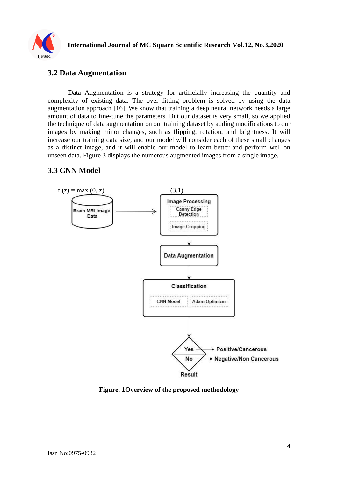

# **3.2 Data Augmentation**

Data Augmentation is a strategy for artificially increasing the quantity and complexity of existing data. The over fitting problem is solved by using the data augmentation approach [\[16\]](#page-9-2). We know that training a deep neural network needs a large amount of data to fine-tune the parameters. But our dataset is very small, so we applied the technique of data augmentation on our training dataset by adding modifications to our images by making minor changes, such as flipping, rotation, and brightness. It will increase our training data size, and our model will consider each of these small changes as a distinct image, and it will enable our model to learn better and perform well on unseen data. Figure 3 displays the numerous augmented images from a single image.

# **3.3 CNN Model**



#### **Figure. 1Overview of the proposed methodology**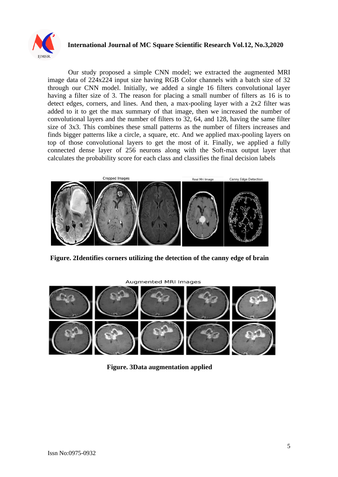

#### **International Journal of MC Square Scientific Research Vol.12, No.3,2020**

Our study proposed a simple CNN model; we extracted the augmented MRI image data of 224x224 input size having RGB Color channels with a batch size of 32 through our CNN model. Initially, we added a single 16 filters convolutional layer having a filter size of 3. The reason for placing a small number of filters as 16 is to detect edges, corners, and lines. And then, a max-pooling layer with a 2x2 filter was added to it to get the max summary of that image, then we increased the number of convolutional layers and the number of filters to 32, 64, and 128, having the same filter size of 3x3. This combines these small patterns as the number of filters increases and finds bigger patterns like a circle, a square, etc. And we applied max-pooling layers on top of those convolutional layers to get the most of it. Finally, we applied a fully connected dense layer of 256 neurons along with the Soft-max output layer that calculates the probability score for each class and classifies the final decision labels



**Figure. 2Identifies corners utilizing the detection of the canny edge of brain**

**Augmented MRI Images** 



**Figure. 3Data augmentation applied**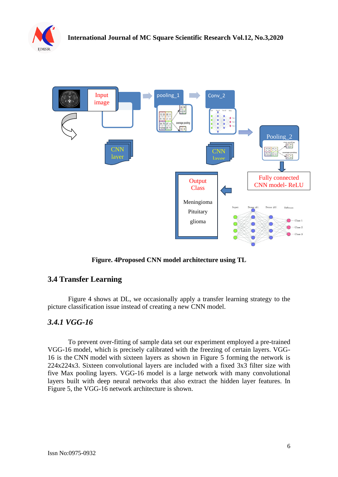



**Figure. 4Proposed CNN model architecture using TL**

# **3.4 Transfer Learning**

Figure 4 shows at DL, we occasionally apply a transfer learning strategy to the picture classification issue instead of creating a new CNN model.

# *3.4.1 VGG-16*

To prevent over-fitting of sample data set our experiment employed a pre-trained VGG-16 model, which is precisely calibrated with the freezing of certain layers. VGG-16 is the CNN model with sixteen layers as shown in Figure 5 forming the network is 224x224x3. Sixteen convolutional layers are included with a fixed 3x3 filter size with five Max pooling layers. VGG-16 model is a large network with many convolutional layers built with deep neural networks that also extract the hidden layer features. In Figure 5, the VGG-16 network architecture is shown.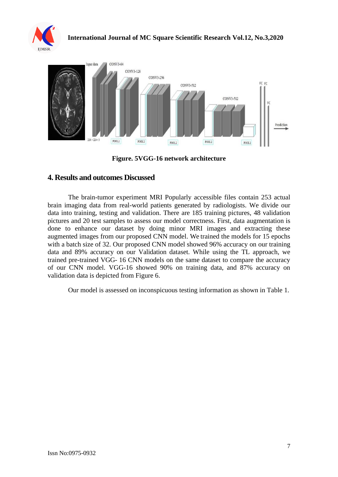



**Figure. 5VGG-16 network architecture**

#### **4. Results and outcomes Discussed**

The brain-tumor experiment MRI Popularly accessible files contain 253 actual brain imaging data from real-world patients generated by radiologists. We divide our data into training, testing and validation. There are 185 training pictures, 48 validation pictures and 20 test samples to assess our model correctness. First, data augmentation is done to enhance our dataset by doing minor MRI images and extracting these augmented images from our proposed CNN model. We trained the models for 15 epochs with a batch size of 32. Our proposed CNN model showed 96% accuracy on our training data and 89% accuracy on our Validation dataset. While using the TL approach, we trained pre-trained VGG- 16 CNN models on the same dataset to compare the accuracy of our CNN model. VGG-16 showed 90% on training data, and 87% accuracy on validation data is depicted from Figure 6.

Our model is assessed on inconspicuous testing information as shown in Table 1.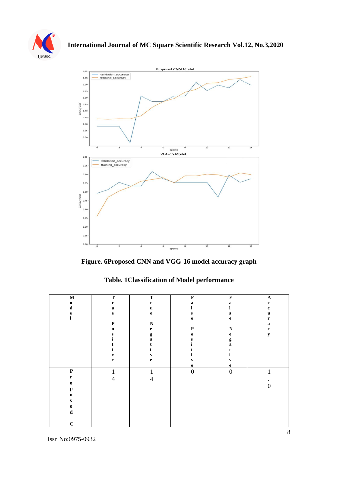



**Figure. 6Proposed CNN and VGG-16 model accuracy graph**

| $\mathbf M$  | $\mathbf T$    | $\mathbf T$    | $\mathbf F$      | $\mathbf F$      | $\mathbf A$    |
|--------------|----------------|----------------|------------------|------------------|----------------|
| $\mathbf 0$  | $\mathbf r$    | $\mathbf r$    | $\bf{a}$         | a                | $\mathbf c$    |
| $\mathbf d$  | $\mathbf u$    | $\mathbf u$    | l                | l                | $\mathbf c$    |
| e            | $\mathbf{e}$   | $\mathbf{e}$   | ${\bf S}$        | ${\bf S}$        | u              |
| 1            |                |                | $\mathbf e$      | $\mathbf e$      | $\mathbf r$    |
|              | $\mathbf P$    | $\mathbf N$    |                  |                  | $\mathbf a$    |
|              | $\bf{0}$       | $\mathbf{e}$   | $\mathbf P$      | ${\bf N}$        | $\mathbf c$    |
|              | ${\bf s}$      | $\mathbf{g}$   | $\mathbf 0$      | $\mathbf e$      | $\mathbf y$    |
|              | ı              | $\mathbf{a}$   | s                | g                |                |
|              |                | t              | 1                | a                |                |
|              | i              | i              | t                | t                |                |
|              | $\mathbf{v}$   | $\mathbf{v}$   | ı.               | ı.               |                |
|              | $\mathbf e$    | $\mathbf{e}$   | $\mathbf{v}$     | $\mathbf{v}$     |                |
|              |                |                | $\mathbf e$      | $\mathbf e$      |                |
| $\mathbf P$  | $\mathbf{1}$   | $\mathbf{1}$   | $\boldsymbol{0}$ | $\boldsymbol{0}$ | $\mathbf{1}$   |
| $\mathbf r$  | $\overline{4}$ | $\overline{4}$ |                  |                  |                |
| $\mathbf 0$  |                |                |                  |                  | $\overline{0}$ |
| $\mathbf{p}$ |                |                |                  |                  |                |
| $\mathbf 0$  |                |                |                  |                  |                |
| ${\bf S}$    |                |                |                  |                  |                |
| $\mathbf e$  |                |                |                  |                  |                |
| $\mathbf d$  |                |                |                  |                  |                |
|              |                |                |                  |                  |                |
| $\mathbf C$  |                |                |                  |                  |                |

**Table. 1Classification of Model performance**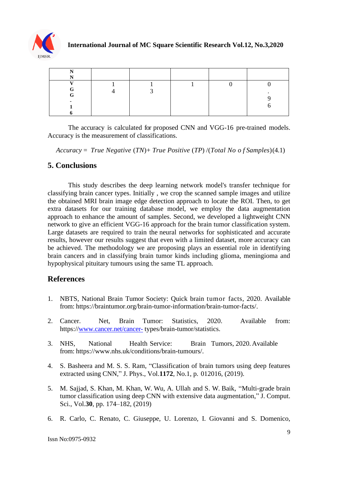![](_page_8_Picture_0.jpeg)

The accuracy is calculated for proposed CNN and VGG-16 pre-trained models. Accuracy is the measurement of classifications.

*Accuracy* = *True Negative* (*TN*)+ *True Positive* (*TP*) /(*Total No o f Samples*)(4.1)

#### **5. Conclusions**

This study describes the deep learning network model's transfer technique for classifying brain cancer types. Initially , we crop the scanned sample images and utilize the obtained MRI brain image edge detection approach to locate the ROI. Then, to get extra datasets for our training database model, we employ the data augmentation approach to enhance the amount of samples. Second, we developed a lightweight CNN network to give an efficient VGG-16 approach for the brain tumor classification system. Large datasets are required to train the neural networks for sophisticated and accurate results, however our results suggest that even with a limited dataset, more accuracy can be achieved. The methodology we are proposing plays an essential role in identifying brain cancers and in classifying brain tumor kinds including glioma, meningioma and hypophysical pituitary tumours using the same TL approach.

# **References**

- 1. NBTS, National Brain Tumor Society: Quick brain tumor facts, 2020. Available from: https://braintumor.org/brain-tumor-information/brain-tumor-facts/.
- 2. Cancer. Net, Brain Tumor: Statistics, 2020. Available from: https:/[/www.cancer.net/cancer-](http://www.cancer.net/cancer-) types/brain-tumor/statistics.
- <span id="page-8-0"></span>3. NHS, National Health Service: Brain Tumors, 2020.Available from: https:/[/www.nhs.uk/conditions/brain-tumours/.](http://www.nhs.uk/conditions/brain-tumours/)
- <span id="page-8-1"></span>4. S. Basheera and M. S. S. Ram, "Classification of brain tumors using deep features extracted using CNN," J. Phys., Vol.**1172**, No.1, p. 012016, (2019).
- <span id="page-8-2"></span>5. M. Sajjad, S. Khan, M. Khan, W. Wu, A. Ullah and S. W. Baik, "Multi-grade brain tumor classification using deep CNN with extensive data augmentation," J. Comput. Sci., Vol.**30**, pp. 174–182, (2019)
- <span id="page-8-3"></span>6. R. Carlo, C. Renato, C. Giuseppe, U. Lorenzo, I. Giovanni and S. Domenico,